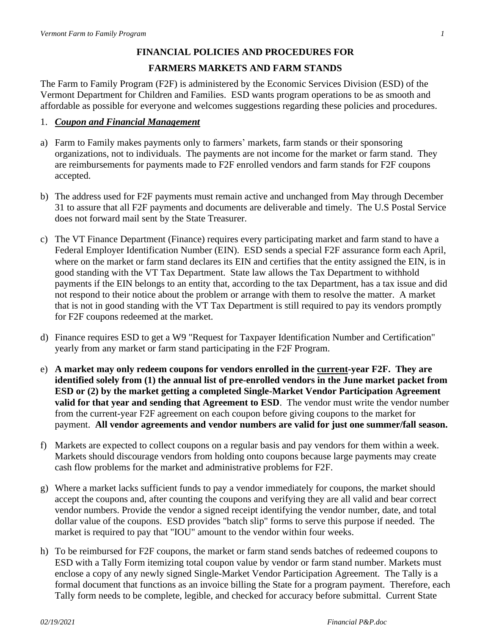## **FINANCIAL POLICIES AND PROCEDURES FOR FARMERS MARKETS AND FARM STANDS**

The Farm to Family Program (F2F) is administered by the Economic Services Division (ESD) of the Vermont Department for Children and Families. ESD wants program operations to be as smooth and affordable as possible for everyone and welcomes suggestions regarding these policies and procedures.

## 1. *Coupon and Financial Management*

- a) Farm to Family makes payments only to farmers' markets, farm stands or their sponsoring organizations, not to individuals. The payments are not income for the market or farm stand. They are reimbursements for payments made to F2F enrolled vendors and farm stands for F2F coupons accepted.
- b) The address used for F2F payments must remain active and unchanged from May through December 31 to assure that all F2F payments and documents are deliverable and timely. The U.S Postal Service does not forward mail sent by the State Treasurer.
- c) The VT Finance Department (Finance) requires every participating market and farm stand to have a Federal Employer Identification Number (EIN). ESD sends a special F2F assurance form each April, where on the market or farm stand declares its EIN and certifies that the entity assigned the EIN, is in good standing with the VT Tax Department. State law allows the Tax Department to withhold payments if the EIN belongs to an entity that, according to the tax Department, has a tax issue and did not respond to their notice about the problem or arrange with them to resolve the matter. A market that is not in good standing with the VT Tax Department is still required to pay its vendors promptly for F2F coupons redeemed at the market.
- d) Finance requires ESD to get a W9 "Request for Taxpayer Identification Number and Certification" yearly from any market or farm stand participating in the F2F Program.
- e) **A market may only redeem coupons for vendors enrolled in the current-year F2F. They are identified solely from (1) the annual list of pre-enrolled vendors in the June market packet from ESD or (2) by the market getting a completed Single-Market Vendor Participation Agreement valid for that year and sending that Agreement to ESD**. The vendor must write the vendor number from the current-year F2F agreement on each coupon before giving coupons to the market for payment. **All vendor agreements and vendor numbers are valid for just one summer/fall season.**
- f) Markets are expected to collect coupons on a regular basis and pay vendors for them within a week. Markets should discourage vendors from holding onto coupons because large payments may create cash flow problems for the market and administrative problems for F2F.
- g) Where a market lacks sufficient funds to pay a vendor immediately for coupons, the market should accept the coupons and, after counting the coupons and verifying they are all valid and bear correct vendor numbers. Provide the vendor a signed receipt identifying the vendor number, date, and total dollar value of the coupons. ESD provides "batch slip" forms to serve this purpose if needed. The market is required to pay that "IOU" amount to the vendor within four weeks.
- h) To be reimbursed for F2F coupons, the market or farm stand sends batches of redeemed coupons to ESD with a Tally Form itemizing total coupon value by vendor or farm stand number. Markets must enclose a copy of any newly signed Single-Market Vendor Participation Agreement. The Tally is a formal document that functions as an invoice billing the State for a program payment. Therefore, each Tally form needs to be complete, legible, and checked for accuracy before submittal. Current State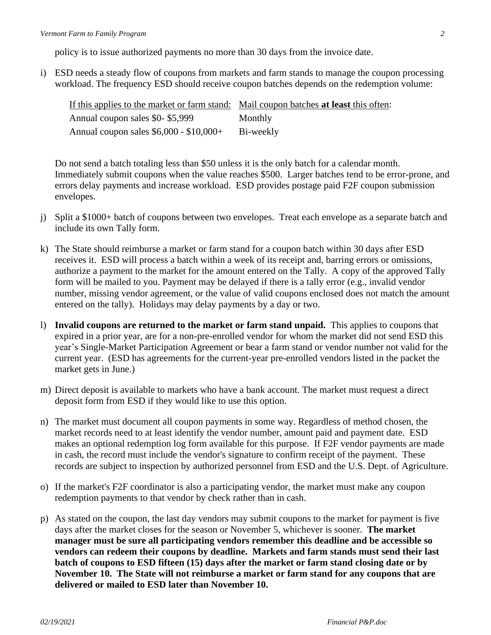policy is to issue authorized payments no more than 30 days from the invoice date.

i) ESD needs a steady flow of coupons from markets and farm stands to manage the coupon processing workload. The frequency ESD should receive coupon batches depends on the redemption volume:

| If this applies to the market or farm stand: Mail coupon batches at least this often: |           |
|---------------------------------------------------------------------------------------|-----------|
| Annual coupon sales \$0-\$5,999                                                       | Monthly   |
| Annual coupon sales $$6,000 - $10,000+$                                               | Bi-weekly |

Do not send a batch totaling less than \$50 unless it is the only batch for a calendar month. Immediately submit coupons when the value reaches \$500. Larger batches tend to be error-prone, and errors delay payments and increase workload. ESD provides postage paid F2F coupon submission envelopes.

- j) Split a \$1000+ batch of coupons between two envelopes. Treat each envelope as a separate batch and include its own Tally form.
- k) The State should reimburse a market or farm stand for a coupon batch within 30 days after ESD receives it. ESD will process a batch within a week of its receipt and, barring errors or omissions, authorize a payment to the market for the amount entered on the Tally. A copy of the approved Tally form will be mailed to you. Payment may be delayed if there is a tally error (e.g., invalid vendor number, missing vendor agreement, or the value of valid coupons enclosed does not match the amount entered on the tally). Holidays may delay payments by a day or two.
- l) **Invalid coupons are returned to the market or farm stand unpaid.** This applies to coupons that expired in a prior year, are for a non-pre-enrolled vendor for whom the market did not send ESD this year's Single-Market Participation Agreement or bear a farm stand or vendor number not valid for the current year. (ESD has agreements for the current-year pre-enrolled vendors listed in the packet the market gets in June.)
- m) Direct deposit is available to markets who have a bank account. The market must request a direct deposit form from ESD if they would like to use this option.
- n) The market must document all coupon payments in some way. Regardless of method chosen, the market records need to at least identify the vendor number, amount paid and payment date. ESD makes an optional redemption log form available for this purpose. If F2F vendor payments are made in cash, the record must include the vendor's signature to confirm receipt of the payment. These records are subject to inspection by authorized personnel from ESD and the U.S. Dept. of Agriculture.
- o) If the market's F2F coordinator is also a participating vendor, the market must make any coupon redemption payments to that vendor by check rather than in cash.
- p) As stated on the coupon, the last day vendors may submit coupons to the market for payment is five days after the market closes for the season or November 5, whichever is sooner. **The market manager must be sure all participating vendors remember this deadline and be accessible so vendors can redeem their coupons by deadline. Markets and farm stands must send their last batch of coupons to ESD fifteen (15) days after the market or farm stand closing date or by November 10. The State will not reimburse a market or farm stand for any coupons that are delivered or mailed to ESD later than November 10.**